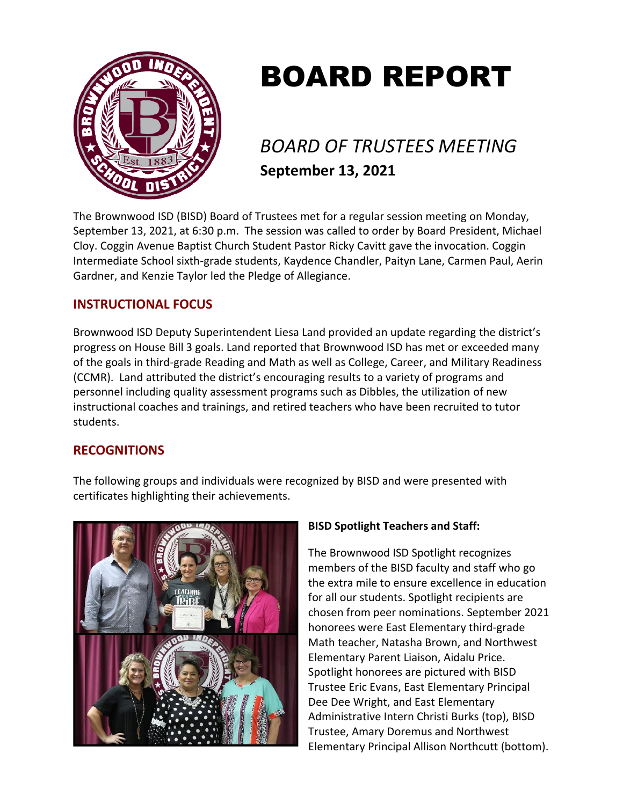

# BOARD REPORT

# *BOARD OF TRUSTEES MEETING* **September 13, 2021**

The Brownwood ISD (BISD) Board of Trustees met for a regular session meeting on Monday, September 13, 2021, at 6:30 p.m. The session was called to order by Board President, Michael Cloy. Coggin Avenue Baptist Church Student Pastor Ricky Cavitt gave the invocation. Coggin Intermediate School sixth-grade students, Kaydence Chandler, Paityn Lane, Carmen Paul, Aerin Gardner, and Kenzie Taylor led the Pledge of Allegiance.

# **INSTRUCTIONAL FOCUS**

Brownwood ISD Deputy Superintendent Liesa Land provided an update regarding the district's progress on House Bill 3 goals. Land reported that Brownwood ISD has met or exceeded many of the goals in third-grade Reading and Math as well as College, Career, and Military Readiness (CCMR). Land attributed the district's encouraging results to a variety of programs and personnel including quality assessment programs such as Dibbles, the utilization of new instructional coaches and trainings, and retired teachers who have been recruited to tutor students.

## **RECOGNITIONS**

The following groups and individuals were recognized by BISD and were presented with certificates highlighting their achievements.



## **BISD Spotlight Teachers and Staff:**

The Brownwood ISD Spotlight recognizes members of the BISD faculty and staff who go the extra mile to ensure excellence in education for all our students. Spotlight recipients are chosen from peer nominations. September 2021 honorees were East Elementary third-grade Math teacher, Natasha Brown, and Northwest Elementary Parent Liaison, Aidalu Price. Spotlight honorees are pictured with BISD Trustee Eric Evans, East Elementary Principal Dee Dee Wright, and East Elementary Administrative Intern Christi Burks (top), BISD Trustee, Amary Doremus and Northwest Elementary Principal Allison Northcutt (bottom).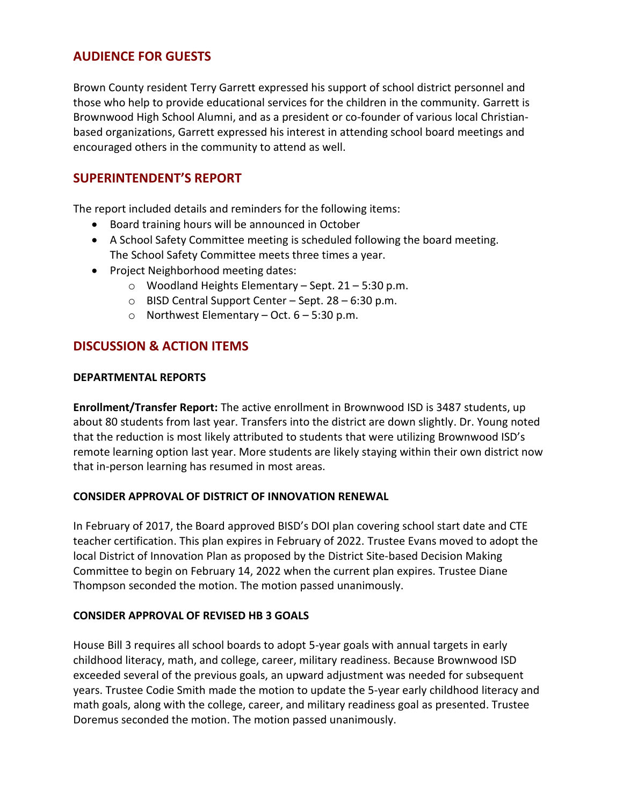# **AUDIENCE FOR GUESTS**

Brown County resident Terry Garrett expressed his support of school district personnel and those who help to provide educational services for the children in the community. Garrett is Brownwood High School Alumni, and as a president or co-founder of various local Christianbased organizations, Garrett expressed his interest in attending school board meetings and encouraged others in the community to attend as well.

# **SUPERINTENDENT'S REPORT**

The report included details and reminders for the following items:

- Board training hours will be announced in October
- A School Safety Committee meeting is scheduled following the board meeting. The School Safety Committee meets three times a year.
- Project Neighborhood meeting dates:
	- o Woodland Heights Elementary Sept. 21 5:30 p.m.
	- $\circ$  BISD Central Support Center Sept. 28 6:30 p.m.
	- o Northwest Elementary Oct.  $6 5:30$  p.m.

# **DISCUSSION & ACTION ITEMS**

#### **DEPARTMENTAL REPORTS**

**Enrollment/Transfer Report:** The active enrollment in Brownwood ISD is 3487 students, up about 80 students from last year. Transfers into the district are down slightly. Dr. Young noted that the reduction is most likely attributed to students that were utilizing Brownwood ISD's remote learning option last year. More students are likely staying within their own district now that in-person learning has resumed in most areas.

#### **CONSIDER APPROVAL OF DISTRICT OF INNOVATION RENEWAL**

In February of 2017, the Board approved BISD's DOI plan covering school start date and CTE teacher certification. This plan expires in February of 2022. Trustee Evans moved to adopt the local District of Innovation Plan as proposed by the District Site-based Decision Making Committee to begin on February 14, 2022 when the current plan expires. Trustee Diane Thompson seconded the motion. The motion passed unanimously.

#### **CONSIDER APPROVAL OF REVISED HB 3 GOALS**

House Bill 3 requires all school boards to adopt 5-year goals with annual targets in early childhood literacy, math, and college, career, military readiness. Because Brownwood ISD exceeded several of the previous goals, an upward adjustment was needed for subsequent years. Trustee Codie Smith made the motion to update the 5-year early childhood literacy and math goals, along with the college, career, and military readiness goal as presented. Trustee Doremus seconded the motion. The motion passed unanimously.